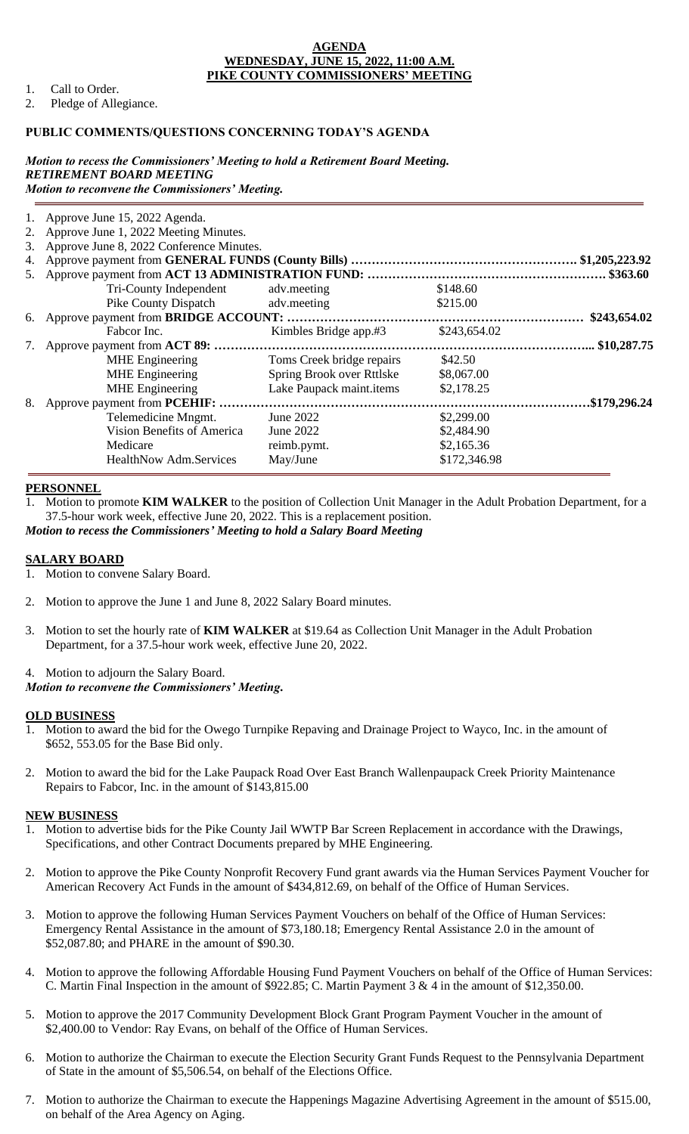#### **AGENDA WEDNESDAY, JUNE 15, 2022, 11:00 A.M. PIKE COUNTY COMMISSIONERS' MEETING**

- 1. Call to Order.
- 2. Pledge of Allegiance.

### **PUBLIC COMMENTS/QUESTIONS CONCERNING TODAY'S AGENDA**

#### *Motion to recess the Commissioners' Meeting to hold a Retirement Board Meeting. RETIREMENT BOARD MEETING Motion to reconvene the Commissioners' Meeting.*

|                               |                                                                              |                                                                                                                                                                                   | $.$ \$363.60 |
|-------------------------------|------------------------------------------------------------------------------|-----------------------------------------------------------------------------------------------------------------------------------------------------------------------------------|--------------|
| Tri-County Independent        | adv.meeting                                                                  | \$148.60                                                                                                                                                                          |              |
|                               | adv.meeting                                                                  | \$215.00                                                                                                                                                                          |              |
|                               |                                                                              |                                                                                                                                                                                   | \$243,654.02 |
| Fabcor Inc.                   |                                                                              | \$243,654.02                                                                                                                                                                      |              |
|                               |                                                                              |                                                                                                                                                                                   | .\$10,287.75 |
| <b>MHE</b> Engineering        | Toms Creek bridge repairs                                                    | \$42.50                                                                                                                                                                           |              |
| <b>MHE</b> Engineering        | Spring Brook over Rttlske                                                    | \$8,067.00                                                                                                                                                                        |              |
| <b>MHE</b> Engineering        | Lake Paupack maint.items                                                     | \$2,178.25                                                                                                                                                                        |              |
|                               |                                                                              |                                                                                                                                                                                   | \$179,296.24 |
| Telemedicine Mngmt.           | June 2022                                                                    | \$2,299.00                                                                                                                                                                        |              |
| Vision Benefits of America    | June 2022                                                                    | \$2,484.90                                                                                                                                                                        |              |
| Medicare                      | reimb.pymt.                                                                  | \$2,165.36                                                                                                                                                                        |              |
| <b>HealthNow Adm.Services</b> | May/June                                                                     | \$172,346.98                                                                                                                                                                      |              |
|                               | 1. Approve June 15, 2022 Agenda.<br>2. Approve June 1, 2022 Meeting Minutes. | 3. Approve June 8, 2022 Conference Minutes.<br><b>Pike County Dispatch</b><br>Kimbles Bridge app.#3<br>7. Approve payment from ACT 89:<br>8. Approve payment from <b>PCEHIF</b> : |              |

#### **PERSONNEL**

1. Motion to promote **KIM WALKER** to the position of Collection Unit Manager in the Adult Probation Department, for a 37.5-hour work week, effective June 20, 2022. This is a replacement position. *Motion to recess the Commissioners' Meeting to hold a Salary Board Meeting*

#### **SALARY BOARD**

- 1. Motion to convene Salary Board.
- 2. Motion to approve the June 1 and June 8, 2022 Salary Board minutes.
- 3. Motion to set the hourly rate of **KIM WALKER** at \$19.64 as Collection Unit Manager in the Adult Probation Department, for a 37.5-hour work week, effective June 20, 2022.

### 4. Motion to adjourn the Salary Board. *Motion to reconvene the Commissioners' Meeting.*

#### **OLD BUSINESS**

- 1. Motion to award the bid for the Owego Turnpike Repaving and Drainage Project to Wayco, Inc. in the amount of \$652, 553.05 for the Base Bid only.
- 2. Motion to award the bid for the Lake Paupack Road Over East Branch Wallenpaupack Creek Priority Maintenance Repairs to Fabcor, Inc. in the amount of \$143,815.00

#### **NEW BUSINESS**

- 1. Motion to advertise bids for the Pike County Jail WWTP Bar Screen Replacement in accordance with the Drawings, Specifications, and other Contract Documents prepared by MHE Engineering.
- 2. Motion to approve the Pike County Nonprofit Recovery Fund grant awards via the Human Services Payment Voucher for American Recovery Act Funds in the amount of \$434,812.69, on behalf of the Office of Human Services.
- 3. Motion to approve the following Human Services Payment Vouchers on behalf of the Office of Human Services: Emergency Rental Assistance in the amount of \$73,180.18; Emergency Rental Assistance 2.0 in the amount of \$52,087.80; and PHARE in the amount of \$90.30.
- 4. Motion to approve the following Affordable Housing Fund Payment Vouchers on behalf of the Office of Human Services: C. Martin Final Inspection in the amount of \$922.85; C. Martin Payment 3 & 4 in the amount of \$12,350.00.
- 5. Motion to approve the 2017 Community Development Block Grant Program Payment Voucher in the amount of \$2,400.00 to Vendor: Ray Evans, on behalf of the Office of Human Services.
- 6. Motion to authorize the Chairman to execute the Election Security Grant Funds Request to the Pennsylvania Department of State in the amount of \$5,506.54, on behalf of the Elections Office.
- 7. Motion to authorize the Chairman to execute the Happenings Magazine Advertising Agreement in the amount of \$515.00, on behalf of the Area Agency on Aging.